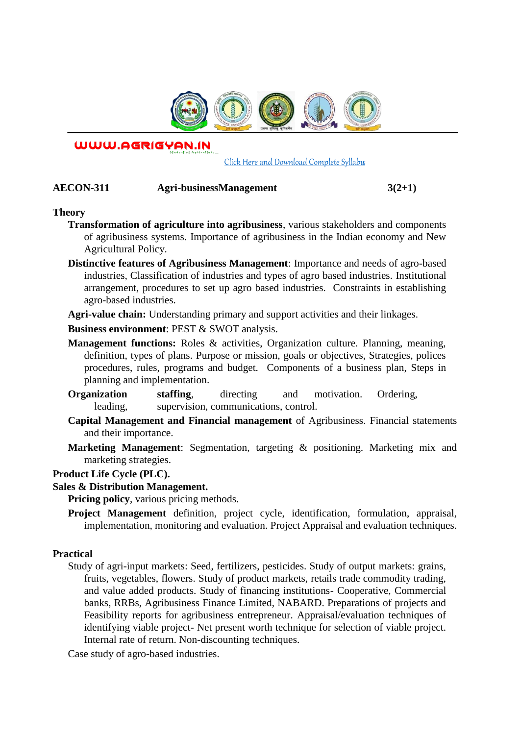

WWW.AGRIGYAN.IN

[Click Here and Download Complete Syllabus](http://agrigyan.in/)

## **AECON-311 Agri-businessManagement 3(2+1)**

### **Theory**

 $\overline{a}$ 

- **Transformation of agriculture into agribusiness**, various stakeholders and components of agribusiness systems. Importance of agribusiness in the Indian economy and New Agricultural Policy.
- **Distinctive features of Agribusiness Management**: Importance and needs of agro-based industries, Classification of industries and types of agro based industries. Institutional arrangement, procedures to set up agro based industries. Constraints in establishing agro-based industries.

**Agri-value chain:** Understanding primary and support activities and their linkages.

**Business environment**: PEST & SWOT analysis.

- **Management functions:** Roles & activities, Organization culture. Planning, meaning, definition, types of plans. Purpose or mission, goals or objectives, Strategies, polices procedures, rules, programs and budget. Components of a business plan, Steps in planning and implementation.
- **Organization** staffing, directing and motivation. Ordering, leading, supervision, communications, control.
- **Capital Management and Financial management** of Agribusiness. Financial statements and their importance.
- **Marketing Management**: Segmentation, targeting & positioning. Marketing mix and marketing strategies.

### **Product Life Cycle (PLC).**

### **Sales & Distribution Management.**

**Pricing policy**, various pricing methods.

**Project Management** definition, project cycle, identification, formulation, appraisal, implementation, monitoring and evaluation. Project Appraisal and evaluation techniques.

### **Practical**

Study of agri-input markets: Seed, fertilizers, pesticides. Study of output markets: grains, fruits, vegetables, flowers. Study of product markets, retails trade commodity trading, and value added products. Study of financing institutions- Cooperative, Commercial banks, RRBs, Agribusiness Finance Limited, NABARD. Preparations of projects and Feasibility reports for agribusiness entrepreneur. Appraisal/evaluation techniques of identifying viable project- Net present worth technique for selection of viable project. Internal rate of return. Non-discounting techniques.

Case study of agro-based industries.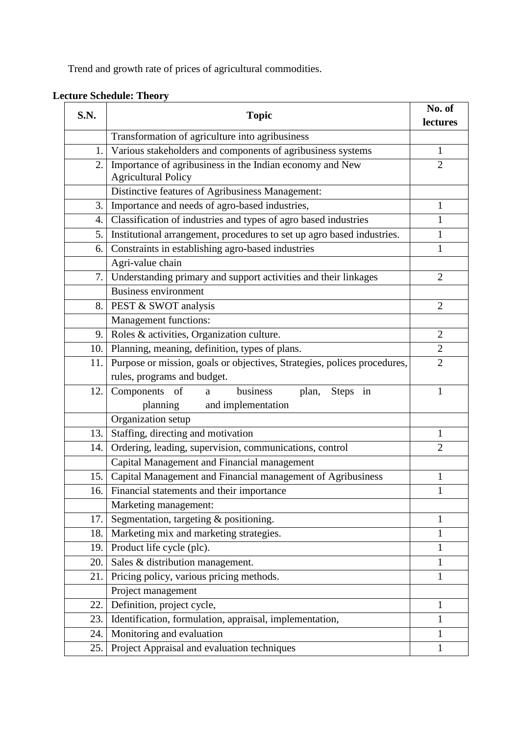Trend and growth rate of prices of agricultural commodities.

| lectures<br>Transformation of agriculture into agribusiness<br>Various stakeholders and components of agribusiness systems<br>1.<br>1<br>Importance of agribusiness in the Indian economy and New<br>$\overline{2}$<br>2.<br><b>Agricultural Policy</b><br>Distinctive features of Agribusiness Management:<br>3.<br>Importance and needs of agro-based industries,<br>$\mathbf{1}$<br>Classification of industries and types of agro based industries<br>1<br>4.<br>Institutional arrangement, procedures to set up agro based industries.<br>5.<br>1<br>Constraints in establishing agro-based industries<br>$\mathbf{1}$<br>6.<br>Agri-value chain<br>Understanding primary and support activities and their linkages<br>7.<br>$\overline{2}$<br><b>Business environment</b><br>PEST & SWOT analysis<br>$\overline{2}$<br>8.<br>Management functions:<br>Roles & activities, Organization culture.<br>$\overline{2}$<br>9.<br>$\overline{2}$<br>Planning, meaning, definition, types of plans.<br>10.<br>Purpose or mission, goals or objectives, Strategies, polices procedures,<br>$\overline{2}$<br>11.<br>rules, programs and budget.<br>Components of<br>business<br>12.<br>plan, Steps in<br>$\mathbf{1}$<br>a<br>planning<br>and implementation<br>Organization setup<br>Staffing, directing and motivation<br>13.<br>1<br>Ordering, leading, supervision, communications, control<br>$\overline{2}$<br>14.<br>Capital Management and Financial management<br>Capital Management and Financial management of Agribusiness<br>$\mathbf{1}$<br>15.<br>16. Financial statements and their importance<br>$\mathbf{1}$<br>Marketing management:<br>Segmentation, targeting & positioning.<br>17.<br>$\mathbf{1}$<br>Marketing mix and marketing strategies.<br>18.<br>1<br>Product life cycle (plc).<br>19.<br>1<br>Sales & distribution management.<br>20.<br>1<br>Pricing policy, various pricing methods.<br>$\mathbf{1}$<br>21.<br>Project management<br>Definition, project cycle,<br>$\mathbf{1}$<br>22.<br>Identification, formulation, appraisal, implementation,<br>$\mathbf{1}$<br>23.<br>Monitoring and evaluation<br>24.<br>1 | S.N. | <b>Topic</b>                                | No. of       |
|------------------------------------------------------------------------------------------------------------------------------------------------------------------------------------------------------------------------------------------------------------------------------------------------------------------------------------------------------------------------------------------------------------------------------------------------------------------------------------------------------------------------------------------------------------------------------------------------------------------------------------------------------------------------------------------------------------------------------------------------------------------------------------------------------------------------------------------------------------------------------------------------------------------------------------------------------------------------------------------------------------------------------------------------------------------------------------------------------------------------------------------------------------------------------------------------------------------------------------------------------------------------------------------------------------------------------------------------------------------------------------------------------------------------------------------------------------------------------------------------------------------------------------------------------------------------------------------------------------------------------------------------------------------------------------------------------------------------------------------------------------------------------------------------------------------------------------------------------------------------------------------------------------------------------------------------------------------------------------------------------------------------------------------------------------------------------------------------------------------------------------------------|------|---------------------------------------------|--------------|
|                                                                                                                                                                                                                                                                                                                                                                                                                                                                                                                                                                                                                                                                                                                                                                                                                                                                                                                                                                                                                                                                                                                                                                                                                                                                                                                                                                                                                                                                                                                                                                                                                                                                                                                                                                                                                                                                                                                                                                                                                                                                                                                                                |      |                                             |              |
|                                                                                                                                                                                                                                                                                                                                                                                                                                                                                                                                                                                                                                                                                                                                                                                                                                                                                                                                                                                                                                                                                                                                                                                                                                                                                                                                                                                                                                                                                                                                                                                                                                                                                                                                                                                                                                                                                                                                                                                                                                                                                                                                                |      |                                             |              |
|                                                                                                                                                                                                                                                                                                                                                                                                                                                                                                                                                                                                                                                                                                                                                                                                                                                                                                                                                                                                                                                                                                                                                                                                                                                                                                                                                                                                                                                                                                                                                                                                                                                                                                                                                                                                                                                                                                                                                                                                                                                                                                                                                |      |                                             |              |
|                                                                                                                                                                                                                                                                                                                                                                                                                                                                                                                                                                                                                                                                                                                                                                                                                                                                                                                                                                                                                                                                                                                                                                                                                                                                                                                                                                                                                                                                                                                                                                                                                                                                                                                                                                                                                                                                                                                                                                                                                                                                                                                                                |      |                                             |              |
|                                                                                                                                                                                                                                                                                                                                                                                                                                                                                                                                                                                                                                                                                                                                                                                                                                                                                                                                                                                                                                                                                                                                                                                                                                                                                                                                                                                                                                                                                                                                                                                                                                                                                                                                                                                                                                                                                                                                                                                                                                                                                                                                                |      |                                             |              |
|                                                                                                                                                                                                                                                                                                                                                                                                                                                                                                                                                                                                                                                                                                                                                                                                                                                                                                                                                                                                                                                                                                                                                                                                                                                                                                                                                                                                                                                                                                                                                                                                                                                                                                                                                                                                                                                                                                                                                                                                                                                                                                                                                |      |                                             |              |
|                                                                                                                                                                                                                                                                                                                                                                                                                                                                                                                                                                                                                                                                                                                                                                                                                                                                                                                                                                                                                                                                                                                                                                                                                                                                                                                                                                                                                                                                                                                                                                                                                                                                                                                                                                                                                                                                                                                                                                                                                                                                                                                                                |      |                                             |              |
|                                                                                                                                                                                                                                                                                                                                                                                                                                                                                                                                                                                                                                                                                                                                                                                                                                                                                                                                                                                                                                                                                                                                                                                                                                                                                                                                                                                                                                                                                                                                                                                                                                                                                                                                                                                                                                                                                                                                                                                                                                                                                                                                                |      |                                             |              |
|                                                                                                                                                                                                                                                                                                                                                                                                                                                                                                                                                                                                                                                                                                                                                                                                                                                                                                                                                                                                                                                                                                                                                                                                                                                                                                                                                                                                                                                                                                                                                                                                                                                                                                                                                                                                                                                                                                                                                                                                                                                                                                                                                |      |                                             |              |
|                                                                                                                                                                                                                                                                                                                                                                                                                                                                                                                                                                                                                                                                                                                                                                                                                                                                                                                                                                                                                                                                                                                                                                                                                                                                                                                                                                                                                                                                                                                                                                                                                                                                                                                                                                                                                                                                                                                                                                                                                                                                                                                                                |      |                                             |              |
|                                                                                                                                                                                                                                                                                                                                                                                                                                                                                                                                                                                                                                                                                                                                                                                                                                                                                                                                                                                                                                                                                                                                                                                                                                                                                                                                                                                                                                                                                                                                                                                                                                                                                                                                                                                                                                                                                                                                                                                                                                                                                                                                                |      |                                             |              |
|                                                                                                                                                                                                                                                                                                                                                                                                                                                                                                                                                                                                                                                                                                                                                                                                                                                                                                                                                                                                                                                                                                                                                                                                                                                                                                                                                                                                                                                                                                                                                                                                                                                                                                                                                                                                                                                                                                                                                                                                                                                                                                                                                |      |                                             |              |
|                                                                                                                                                                                                                                                                                                                                                                                                                                                                                                                                                                                                                                                                                                                                                                                                                                                                                                                                                                                                                                                                                                                                                                                                                                                                                                                                                                                                                                                                                                                                                                                                                                                                                                                                                                                                                                                                                                                                                                                                                                                                                                                                                |      |                                             |              |
|                                                                                                                                                                                                                                                                                                                                                                                                                                                                                                                                                                                                                                                                                                                                                                                                                                                                                                                                                                                                                                                                                                                                                                                                                                                                                                                                                                                                                                                                                                                                                                                                                                                                                                                                                                                                                                                                                                                                                                                                                                                                                                                                                |      |                                             |              |
|                                                                                                                                                                                                                                                                                                                                                                                                                                                                                                                                                                                                                                                                                                                                                                                                                                                                                                                                                                                                                                                                                                                                                                                                                                                                                                                                                                                                                                                                                                                                                                                                                                                                                                                                                                                                                                                                                                                                                                                                                                                                                                                                                |      |                                             |              |
|                                                                                                                                                                                                                                                                                                                                                                                                                                                                                                                                                                                                                                                                                                                                                                                                                                                                                                                                                                                                                                                                                                                                                                                                                                                                                                                                                                                                                                                                                                                                                                                                                                                                                                                                                                                                                                                                                                                                                                                                                                                                                                                                                |      |                                             |              |
|                                                                                                                                                                                                                                                                                                                                                                                                                                                                                                                                                                                                                                                                                                                                                                                                                                                                                                                                                                                                                                                                                                                                                                                                                                                                                                                                                                                                                                                                                                                                                                                                                                                                                                                                                                                                                                                                                                                                                                                                                                                                                                                                                |      |                                             |              |
|                                                                                                                                                                                                                                                                                                                                                                                                                                                                                                                                                                                                                                                                                                                                                                                                                                                                                                                                                                                                                                                                                                                                                                                                                                                                                                                                                                                                                                                                                                                                                                                                                                                                                                                                                                                                                                                                                                                                                                                                                                                                                                                                                |      |                                             |              |
|                                                                                                                                                                                                                                                                                                                                                                                                                                                                                                                                                                                                                                                                                                                                                                                                                                                                                                                                                                                                                                                                                                                                                                                                                                                                                                                                                                                                                                                                                                                                                                                                                                                                                                                                                                                                                                                                                                                                                                                                                                                                                                                                                |      |                                             |              |
|                                                                                                                                                                                                                                                                                                                                                                                                                                                                                                                                                                                                                                                                                                                                                                                                                                                                                                                                                                                                                                                                                                                                                                                                                                                                                                                                                                                                                                                                                                                                                                                                                                                                                                                                                                                                                                                                                                                                                                                                                                                                                                                                                |      |                                             |              |
|                                                                                                                                                                                                                                                                                                                                                                                                                                                                                                                                                                                                                                                                                                                                                                                                                                                                                                                                                                                                                                                                                                                                                                                                                                                                                                                                                                                                                                                                                                                                                                                                                                                                                                                                                                                                                                                                                                                                                                                                                                                                                                                                                |      |                                             |              |
|                                                                                                                                                                                                                                                                                                                                                                                                                                                                                                                                                                                                                                                                                                                                                                                                                                                                                                                                                                                                                                                                                                                                                                                                                                                                                                                                                                                                                                                                                                                                                                                                                                                                                                                                                                                                                                                                                                                                                                                                                                                                                                                                                |      |                                             |              |
|                                                                                                                                                                                                                                                                                                                                                                                                                                                                                                                                                                                                                                                                                                                                                                                                                                                                                                                                                                                                                                                                                                                                                                                                                                                                                                                                                                                                                                                                                                                                                                                                                                                                                                                                                                                                                                                                                                                                                                                                                                                                                                                                                |      |                                             |              |
|                                                                                                                                                                                                                                                                                                                                                                                                                                                                                                                                                                                                                                                                                                                                                                                                                                                                                                                                                                                                                                                                                                                                                                                                                                                                                                                                                                                                                                                                                                                                                                                                                                                                                                                                                                                                                                                                                                                                                                                                                                                                                                                                                |      |                                             |              |
|                                                                                                                                                                                                                                                                                                                                                                                                                                                                                                                                                                                                                                                                                                                                                                                                                                                                                                                                                                                                                                                                                                                                                                                                                                                                                                                                                                                                                                                                                                                                                                                                                                                                                                                                                                                                                                                                                                                                                                                                                                                                                                                                                |      |                                             |              |
|                                                                                                                                                                                                                                                                                                                                                                                                                                                                                                                                                                                                                                                                                                                                                                                                                                                                                                                                                                                                                                                                                                                                                                                                                                                                                                                                                                                                                                                                                                                                                                                                                                                                                                                                                                                                                                                                                                                                                                                                                                                                                                                                                |      |                                             |              |
|                                                                                                                                                                                                                                                                                                                                                                                                                                                                                                                                                                                                                                                                                                                                                                                                                                                                                                                                                                                                                                                                                                                                                                                                                                                                                                                                                                                                                                                                                                                                                                                                                                                                                                                                                                                                                                                                                                                                                                                                                                                                                                                                                |      |                                             |              |
|                                                                                                                                                                                                                                                                                                                                                                                                                                                                                                                                                                                                                                                                                                                                                                                                                                                                                                                                                                                                                                                                                                                                                                                                                                                                                                                                                                                                                                                                                                                                                                                                                                                                                                                                                                                                                                                                                                                                                                                                                                                                                                                                                |      |                                             |              |
|                                                                                                                                                                                                                                                                                                                                                                                                                                                                                                                                                                                                                                                                                                                                                                                                                                                                                                                                                                                                                                                                                                                                                                                                                                                                                                                                                                                                                                                                                                                                                                                                                                                                                                                                                                                                                                                                                                                                                                                                                                                                                                                                                |      |                                             |              |
|                                                                                                                                                                                                                                                                                                                                                                                                                                                                                                                                                                                                                                                                                                                                                                                                                                                                                                                                                                                                                                                                                                                                                                                                                                                                                                                                                                                                                                                                                                                                                                                                                                                                                                                                                                                                                                                                                                                                                                                                                                                                                                                                                |      |                                             |              |
|                                                                                                                                                                                                                                                                                                                                                                                                                                                                                                                                                                                                                                                                                                                                                                                                                                                                                                                                                                                                                                                                                                                                                                                                                                                                                                                                                                                                                                                                                                                                                                                                                                                                                                                                                                                                                                                                                                                                                                                                                                                                                                                                                |      |                                             |              |
|                                                                                                                                                                                                                                                                                                                                                                                                                                                                                                                                                                                                                                                                                                                                                                                                                                                                                                                                                                                                                                                                                                                                                                                                                                                                                                                                                                                                                                                                                                                                                                                                                                                                                                                                                                                                                                                                                                                                                                                                                                                                                                                                                |      |                                             |              |
|                                                                                                                                                                                                                                                                                                                                                                                                                                                                                                                                                                                                                                                                                                                                                                                                                                                                                                                                                                                                                                                                                                                                                                                                                                                                                                                                                                                                                                                                                                                                                                                                                                                                                                                                                                                                                                                                                                                                                                                                                                                                                                                                                |      |                                             |              |
|                                                                                                                                                                                                                                                                                                                                                                                                                                                                                                                                                                                                                                                                                                                                                                                                                                                                                                                                                                                                                                                                                                                                                                                                                                                                                                                                                                                                                                                                                                                                                                                                                                                                                                                                                                                                                                                                                                                                                                                                                                                                                                                                                |      |                                             |              |
|                                                                                                                                                                                                                                                                                                                                                                                                                                                                                                                                                                                                                                                                                                                                                                                                                                                                                                                                                                                                                                                                                                                                                                                                                                                                                                                                                                                                                                                                                                                                                                                                                                                                                                                                                                                                                                                                                                                                                                                                                                                                                                                                                |      |                                             |              |
|                                                                                                                                                                                                                                                                                                                                                                                                                                                                                                                                                                                                                                                                                                                                                                                                                                                                                                                                                                                                                                                                                                                                                                                                                                                                                                                                                                                                                                                                                                                                                                                                                                                                                                                                                                                                                                                                                                                                                                                                                                                                                                                                                |      |                                             |              |
|                                                                                                                                                                                                                                                                                                                                                                                                                                                                                                                                                                                                                                                                                                                                                                                                                                                                                                                                                                                                                                                                                                                                                                                                                                                                                                                                                                                                                                                                                                                                                                                                                                                                                                                                                                                                                                                                                                                                                                                                                                                                                                                                                |      |                                             |              |
|                                                                                                                                                                                                                                                                                                                                                                                                                                                                                                                                                                                                                                                                                                                                                                                                                                                                                                                                                                                                                                                                                                                                                                                                                                                                                                                                                                                                                                                                                                                                                                                                                                                                                                                                                                                                                                                                                                                                                                                                                                                                                                                                                | 25.  | Project Appraisal and evaluation techniques | $\mathbf{1}$ |